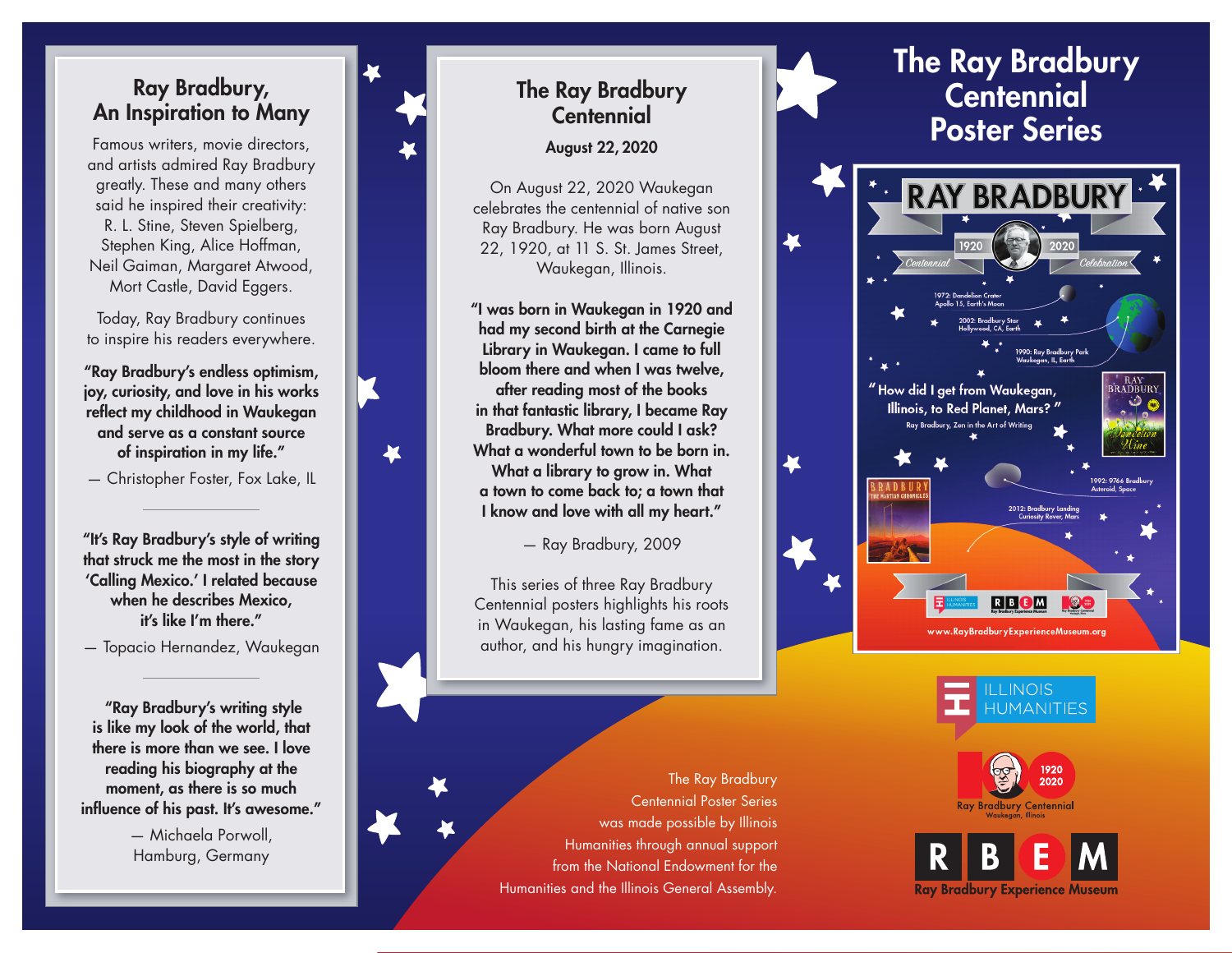#### Ray Bradbury, An Inspiration to Many

Famous writers, movie directors, and artists admired Ray Bradbury greatly. These and many others said he inspired their creativity: R. L. Stine, Steven Spielberg, Stephen King, Alice Hoffman, Neil Gaiman, Margaret Atwood, Mort Castle, David Eggers.

Today, Ray Bradbury continues to inspire his readers everywhere.

"Ray Bradbury's endless optimism, joy, curiosity, and love in his works reflect my childhood in Waukegan and serve as a constant source of inspiration in my life."

— Christopher Foster, Fox Lake, IL

"It's Ray Bradbury's style of writing that struck me the most in the story 'Calling Mexico.' I related because when he describes Mexico, it's like I'm there."

— Topacio Hernandez, Waukegan

 "Ray Bradbury's writing style is like my look of the world, that there is more than we see. I love reading his biography at the moment, as there is so much influence of his past. It's awesome."

> — Michaela Porwoll, Hamburg, Germany



# The Ray Bradbury **Centennial**

August 22, 2020

On August 22, 2020 Waukegan celebrates the centennial of native son Ray Bradbury. He was born August 22, 1920, at 11 S. St. James Street, Waukegan, Illinois.

"I was born in Waukegan in 1920 and had my second birth at the Carnegie Library in Waukegan. I came to full bloom there and when I was twelve, after reading most of the books in that fantastic library, I became Ray Bradbury. What more could I ask? What a wonderful town to be born in. What a library to grow in. What a town to come back to; a town that I know and love with all my heart."

— Ray Bradbury, 2009

This series of three Ray Bradbury Centennial posters highlights his roots in Waukegan, his lasting fame as an author, and his hungry imagination.



The Ray Bradbury Centennial Poster Series was made possible by Illinois Humanities through annual support from the National Endowment for the Humanities and the Illinois General Assembly.







Ray Bradbury Experience Museum